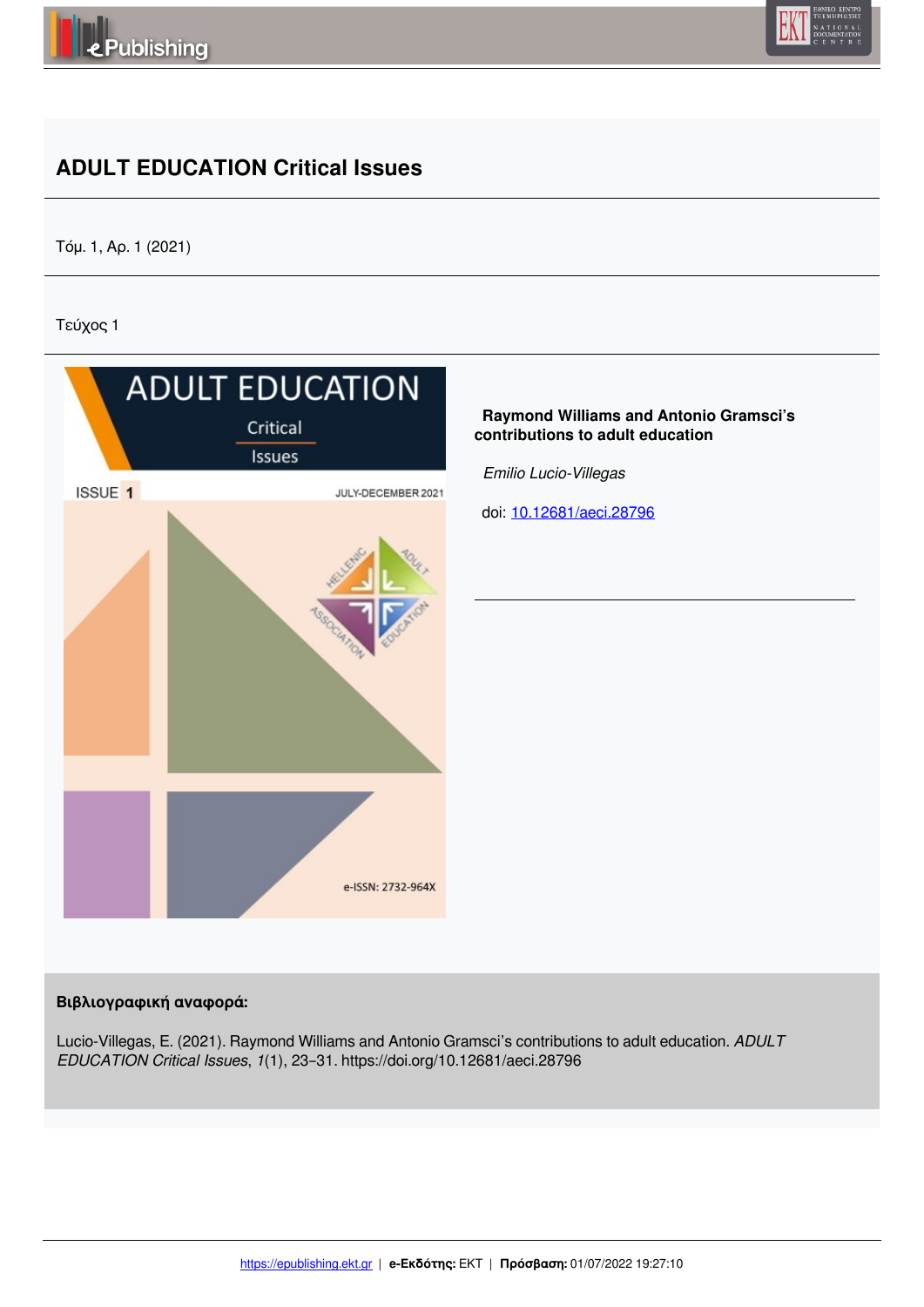



# **ADULT EDUCATION Critical Issues**

Τόμ. 1, Αρ. 1 (2021)

Τεύχος 1



### **Βιβλιογραφική αναφορά:**

Lucio-Villegas, E. (2021). Raymond Williams and Antonio Gramsci's contributions to adult education. *ADULT EDUCATION Critical Issues*, *1*(1), 23–31. https://doi.org/10.12681/aeci.28796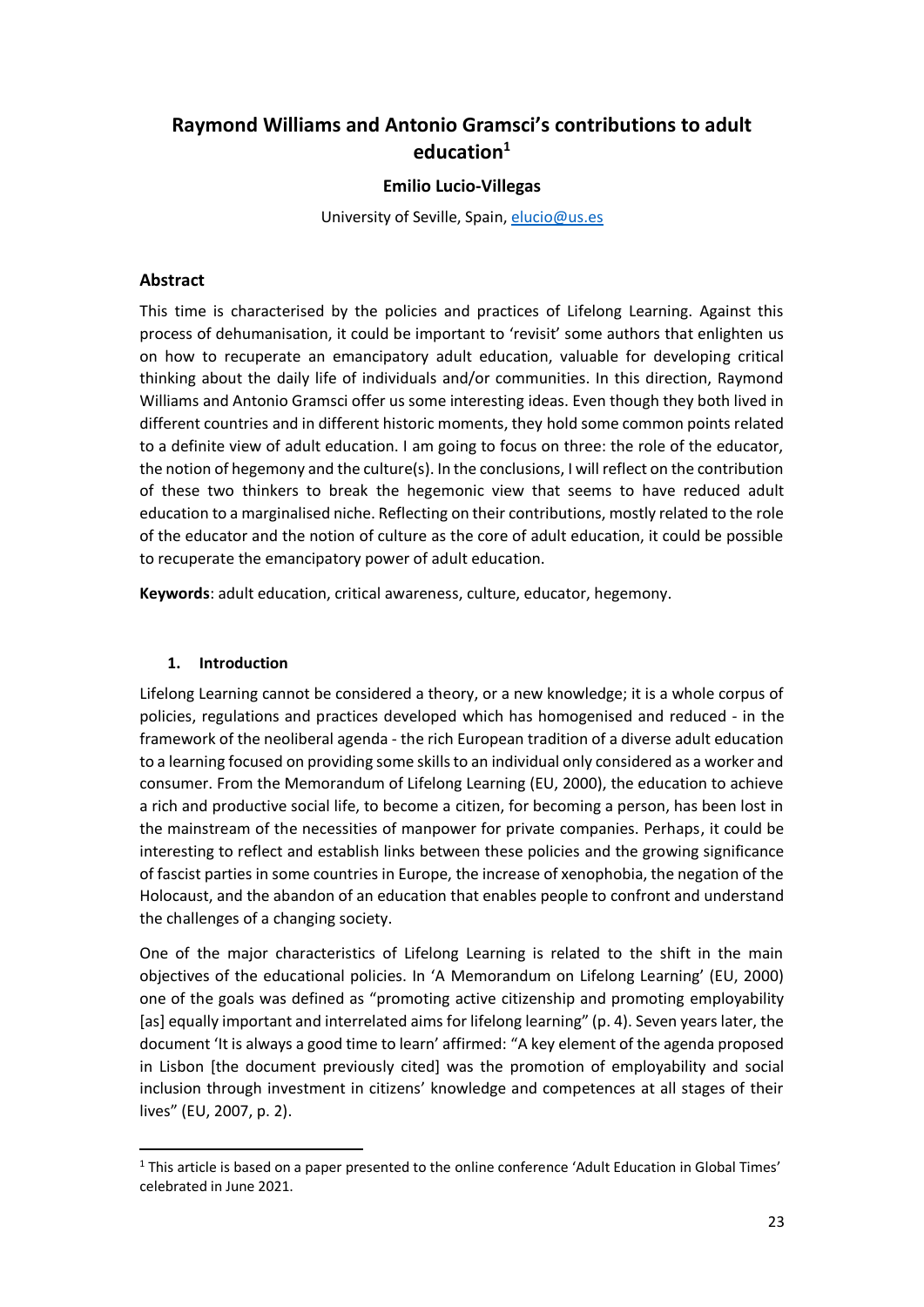## **Raymond Williams and Antonio Gramsci's contributions to adult education<sup>1</sup>**

#### **Emilio Lucio-Villegas**

University of Seville, Spain, elucio@us.es

#### **Abstract**

This time is characterised by the policies and practices of Lifelong Learning. Against this process of dehumanisation, it could be important to 'revisit' some authors that enlighten us on how to recuperate an emancipatory adult education, valuable for developing critical thinking about the daily life of individuals and/or communities. In this direction, Raymond Williams and Antonio Gramsci offer us some interesting ideas. Even though they both lived in different countries and in different historic moments, they hold some common points related to a definite view of adult education. I am going to focus on three: the role of the educator, the notion of hegemony and the culture(s). In the conclusions, I will reflect on the contribution of these two thinkers to break the hegemonic view that seems to have reduced adult education to a marginalised niche. Reflecting on their contributions, mostly related to the role of the educator and the notion of culture as the core of adult education, it could be possible to recuperate the emancipatory power of adult education.

**Keywords**: adult education, critical awareness, culture, educator, hegemony.

#### **1. Introduction**

Lifelong Learning cannot be considered a theory, or a new knowledge; it is a whole corpus of policies, regulations and practices developed which has homogenised and reduced - in the framework of the neoliberal agenda - the rich European tradition of a diverse adult education to a learning focused on providing some skills to an individual only considered as a worker and consumer. From the Memorandum of Lifelong Learning (EU, 2000), the education to achieve a rich and productive social life, to become a citizen, for becoming a person, has been lost in the mainstream of the necessities of manpower for private companies. Perhaps, it could be interesting to reflect and establish links between these policies and the growing significance of fascist parties in some countries in Europe, the increase of xenophobia, the negation of the Holocaust, and the abandon of an education that enables people to confront and understand the challenges of a changing society.

One of the major characteristics of Lifelong Learning is related to the shift in the main objectives of the educational policies. In 'A Memorandum on Lifelong Learning' (EU, 2000) one of the goals was defined as "promoting active citizenship and promoting employability [as] equally important and interrelated aims for lifelong learning" (p. 4). Seven years later, the document 'It is always a good time to learn' affirmed: "A key element of the agenda proposed in Lisbon [the document previously cited] was the promotion of employability and social inclusion through investment in citizens' knowledge and competences at all stages of their lives" (EU, 2007, p. 2).

 $1$  This article is based on a paper presented to the online conference 'Adult Education in Global Times' celebrated in June 2021.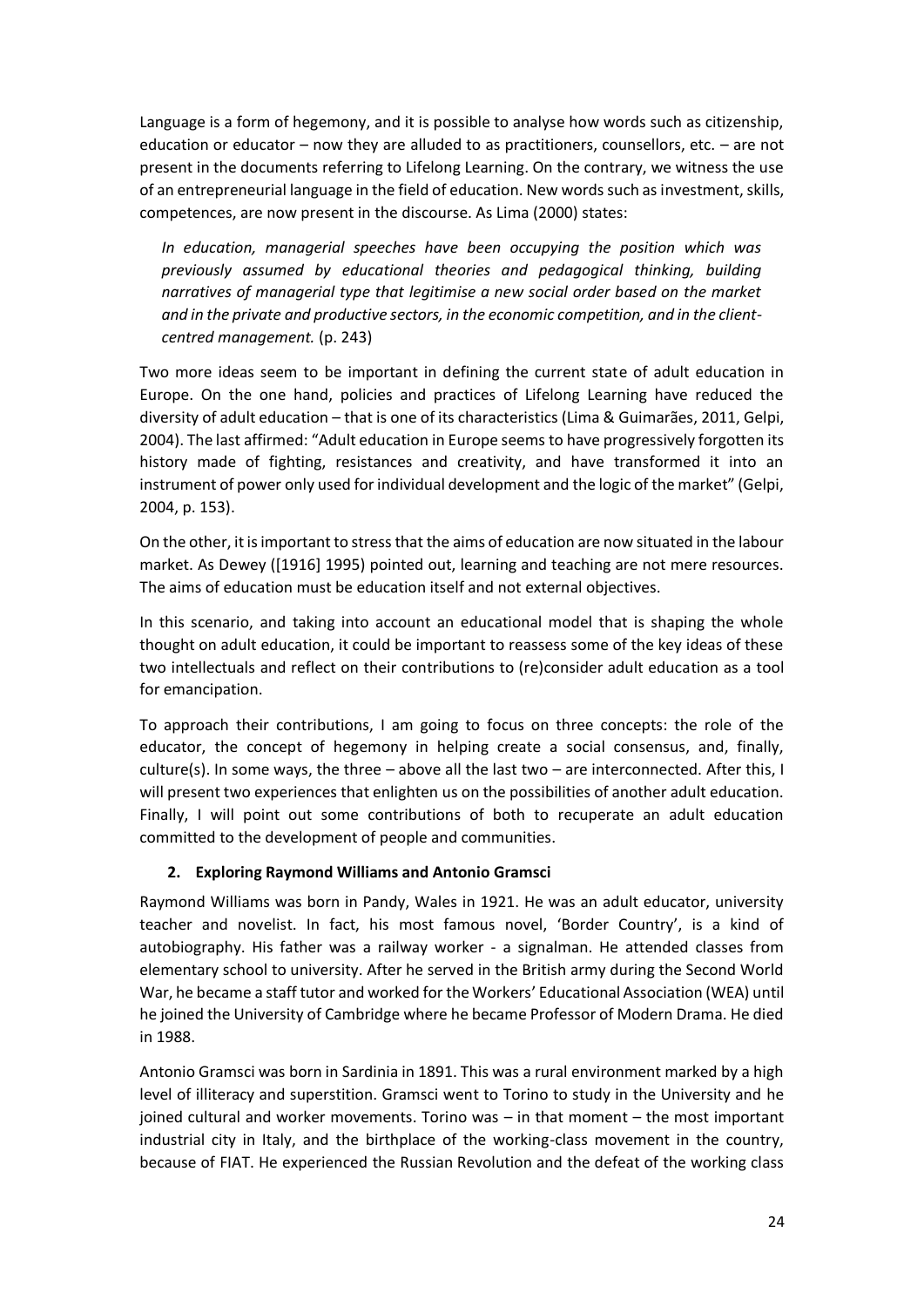Language is a form of hegemony, and it is possible to analyse how words such as citizenship, education or educator – now they are alluded to as practitioners, counsellors, etc. – are not present in the documents referring to Lifelong Learning. On the contrary, we witness the use of an entrepreneurial language in the field of education. New words such as investment, skills, competences, are now present in the discourse. As Lima (2000) states:

*In education, managerial speeches have been occupying the position which was previously assumed by educational theories and pedagogical thinking, building narratives of managerial type that legitimise a new social order based on the market and in the private and productive sectors, in the economic competition, and in the clientcentred management.* (p. 243)

Two more ideas seem to be important in defining the current state of adult education in Europe. On the one hand, policies and practices of Lifelong Learning have reduced the diversity of adult education – that is one of its characteristics (Lima & Guimarães, 2011, Gelpi, 2004). The last affirmed: "Adult education in Europe seems to have progressively forgotten its history made of fighting, resistances and creativity, and have transformed it into an instrument of power only used for individual development and the logic of the market" (Gelpi, 2004, p. 153).

On the other, it is important to stress that the aims of education are now situated in the labour market. As Dewey ([1916] 1995) pointed out, learning and teaching are not mere resources. The aims of education must be education itself and not external objectives.

In this scenario, and taking into account an educational model that is shaping the whole thought on adult education, it could be important to reassess some of the key ideas of these two intellectuals and reflect on their contributions to (re)consider adult education as a tool for emancipation.

To approach their contributions, I am going to focus on three concepts: the role of the educator, the concept of hegemony in helping create a social consensus, and, finally, culture(s). In some ways, the three – above all the last two – are interconnected. After this, I will present two experiences that enlighten us on the possibilities of another adult education. Finally, I will point out some contributions of both to recuperate an adult education committed to the development of people and communities.

#### **2. Exploring Raymond Williams and Antonio Gramsci**

Raymond Williams was born in Pandy, Wales in 1921. He was an adult educator, university teacher and novelist. In fact, his most famous novel, 'Border Country', is a kind of autobiography. His father was a railway worker - a signalman. He attended classes from elementary school to university. After he served in the British army during the Second World War, he became a staff tutor and worked for the Workers' Educational Association (WEA) until he joined the University of Cambridge where he became Professor of Modern Drama. He died in 1988.

Antonio Gramsci was born in Sardinia in 1891. This was a rural environment marked by a high level of illiteracy and superstition. Gramsci went to Torino to study in the University and he joined cultural and worker movements. Torino was – in that moment – the most important industrial city in Italy, and the birthplace of the working-class movement in the country, because of FIAT. He experienced the Russian Revolution and the defeat of the working class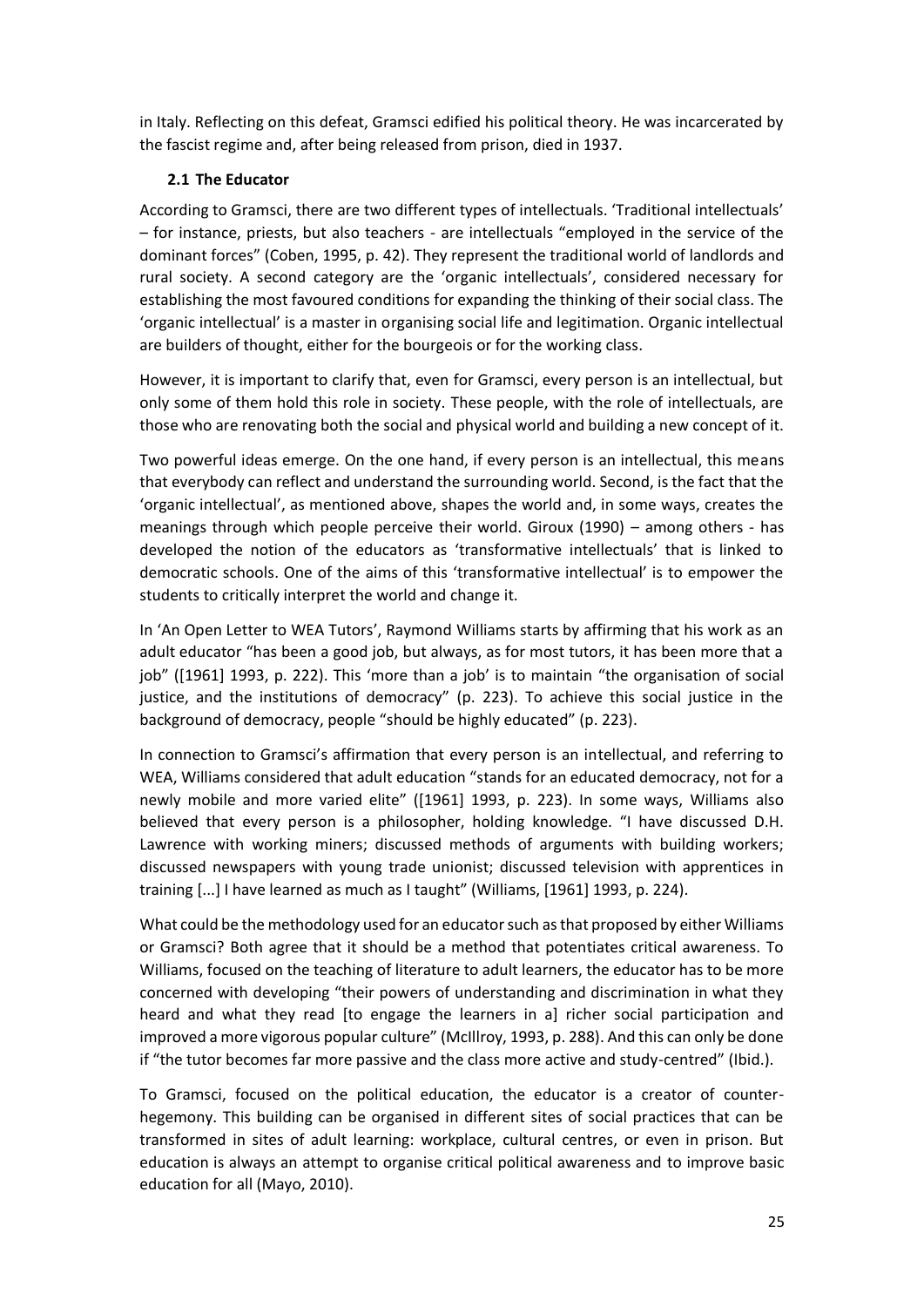in Italy. Reflecting on this defeat, Gramsci edified his political theory. He was incarcerated by the fascist regime and, after being released from prison, died in 1937.

### **2.1 The Educator**

According to Gramsci, there are two different types of intellectuals. 'Traditional intellectuals' – for instance, priests, but also teachers - are intellectuals "employed in the service of the dominant forces" (Coben, 1995, p. 42). They represent the traditional world of landlords and rural society. A second category are the 'organic intellectuals', considered necessary for establishing the most favoured conditions for expanding the thinking of their social class. The 'organic intellectual' is a master in organising social life and legitimation. Organic intellectual are builders of thought, either for the bourgeois or for the working class.

However, it is important to clarify that, even for Gramsci, every person is an intellectual, but only some of them hold this role in society. These people, with the role of intellectuals, are those who are renovating both the social and physical world and building a new concept of it.

Two powerful ideas emerge. On the one hand, if every person is an intellectual, this means that everybody can reflect and understand the surrounding world. Second, is the fact that the 'organic intellectual', as mentioned above, shapes the world and, in some ways, creates the meanings through which people perceive their world. Giroux (1990) – among others - has developed the notion of the educators as 'transformative intellectuals' that is linked to democratic schools. One of the aims of this 'transformative intellectual' is to empower the students to critically interpret the world and change it.

In 'An Open Letter to WEA Tutors', Raymond Williams starts by affirming that his work as an adult educator "has been a good job, but always, as for most tutors, it has been more that a job" ([1961] 1993, p. 222). This 'more than a job' is to maintain "the organisation of social justice, and the institutions of democracy" (p. 223). To achieve this social justice in the background of democracy, people "should be highly educated" (p. 223).

In connection to Gramsci's affirmation that every person is an intellectual, and referring to WEA, Williams considered that adult education "stands for an educated democracy, not for a newly mobile and more varied elite" ([1961] 1993, p. 223). In some ways, Williams also believed that every person is a philosopher, holding knowledge. "I have discussed D.H. Lawrence with working miners; discussed methods of arguments with building workers; discussed newspapers with young trade unionist; discussed television with apprentices in training [...] I have learned as much as I taught" (Williams, [1961] 1993, p. 224).

What could be the methodology used for an educator such as that proposed by either Williams or Gramsci? Both agree that it should be a method that potentiates critical awareness. To Williams, focused on the teaching of literature to adult learners, the educator has to be more concerned with developing "their powers of understanding and discrimination in what they heard and what they read [to engage the learners in a] richer social participation and improved a more vigorous popular culture" (McIllroy, 1993, p. 288). And this can only be done if "the tutor becomes far more passive and the class more active and study-centred" (Ibid.).

To Gramsci, focused on the political education, the educator is a creator of counterhegemony. This building can be organised in different sites of social practices that can be transformed in sites of adult learning: workplace, cultural centres, or even in prison. But education is always an attempt to organise critical political awareness and to improve basic education for all (Mayo, 2010).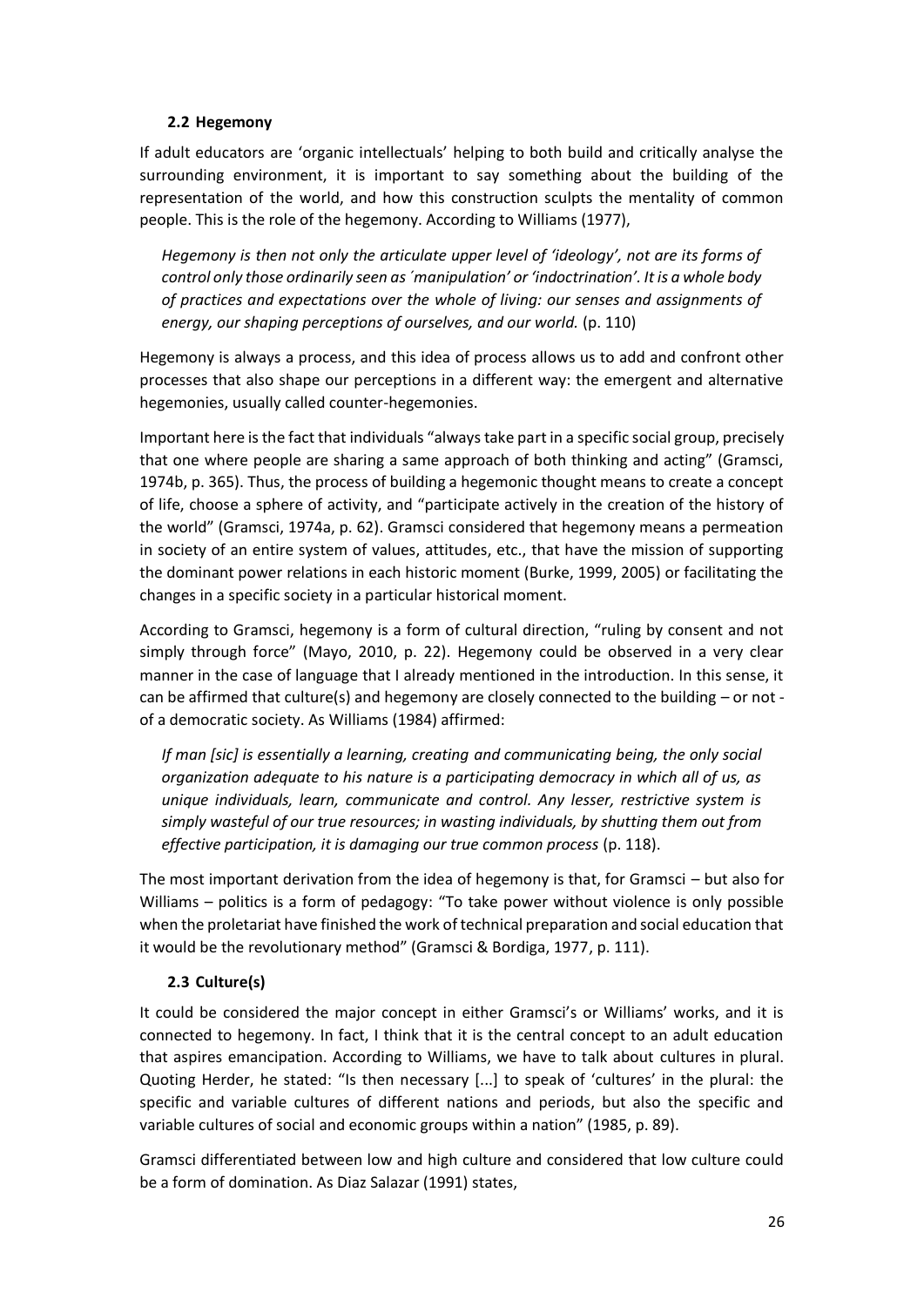#### **2.2 Hegemony**

If adult educators are 'organic intellectuals' helping to both build and critically analyse the surrounding environment, it is important to say something about the building of the representation of the world, and how this construction sculpts the mentality of common people. This is the role of the hegemony. According to Williams (1977),

*Hegemony is then not only the articulate upper level of 'ideology', not are its forms of control only those ordinarily seen as ´manipulation' or 'indoctrination'. It is a whole body of practices and expectations over the whole of living: our senses and assignments of energy, our shaping perceptions of ourselves, and our world.* (p. 110)

Hegemony is always a process, and this idea of process allows us to add and confront other processes that also shape our perceptions in a different way: the emergent and alternative hegemonies, usually called counter-hegemonies.

Important here is the fact that individuals "always take part in a specific social group, precisely that one where people are sharing a same approach of both thinking and acting" (Gramsci, 1974b, p. 365). Thus, the process of building a hegemonic thought means to create a concept of life, choose a sphere of activity, and "participate actively in the creation of the history of the world" (Gramsci, 1974a, p. 62). Gramsci considered that hegemony means a permeation in society of an entire system of values, attitudes, etc., that have the mission of supporting the dominant power relations in each historic moment (Burke, 1999, 2005) or facilitating the changes in a specific society in a particular historical moment.

According to Gramsci, hegemony is a form of cultural direction, "ruling by consent and not simply through force" (Mayo, 2010, p. 22). Hegemony could be observed in a very clear manner in the case of language that I already mentioned in the introduction. In this sense, it can be affirmed that culture(s) and hegemony are closely connected to the building  $-$  or not of a democratic society. As Williams (1984) affirmed:

*If man [sic] is essentially a learning, creating and communicating being, the only social organization adequate to his nature is a participating democracy in which all of us, as unique individuals, learn, communicate and control. Any lesser, restrictive system is simply wasteful of our true resources; in wasting individuals, by shutting them out from effective participation, it is damaging our true common process* (p. 118).

The most important derivation from the idea of hegemony is that, for Gramsci – but also for Williams – politics is a form of pedagogy: "To take power without violence is only possible when the proletariat have finished the work of technical preparation and social education that it would be the revolutionary method" (Gramsci & Bordiga, 1977, p. 111).

#### **2.3 Culture(s)**

It could be considered the major concept in either Gramsci's or Williams' works, and it is connected to hegemony. In fact, I think that it is the central concept to an adult education that aspires emancipation. According to Williams, we have to talk about cultures in plural. Quoting Herder, he stated: "Is then necessary [...] to speak of 'cultures' in the plural: the specific and variable cultures of different nations and periods, but also the specific and variable cultures of social and economic groups within a nation" (1985, p. 89).

Gramsci differentiated between low and high culture and considered that low culture could be a form of domination. As Diaz Salazar (1991) states,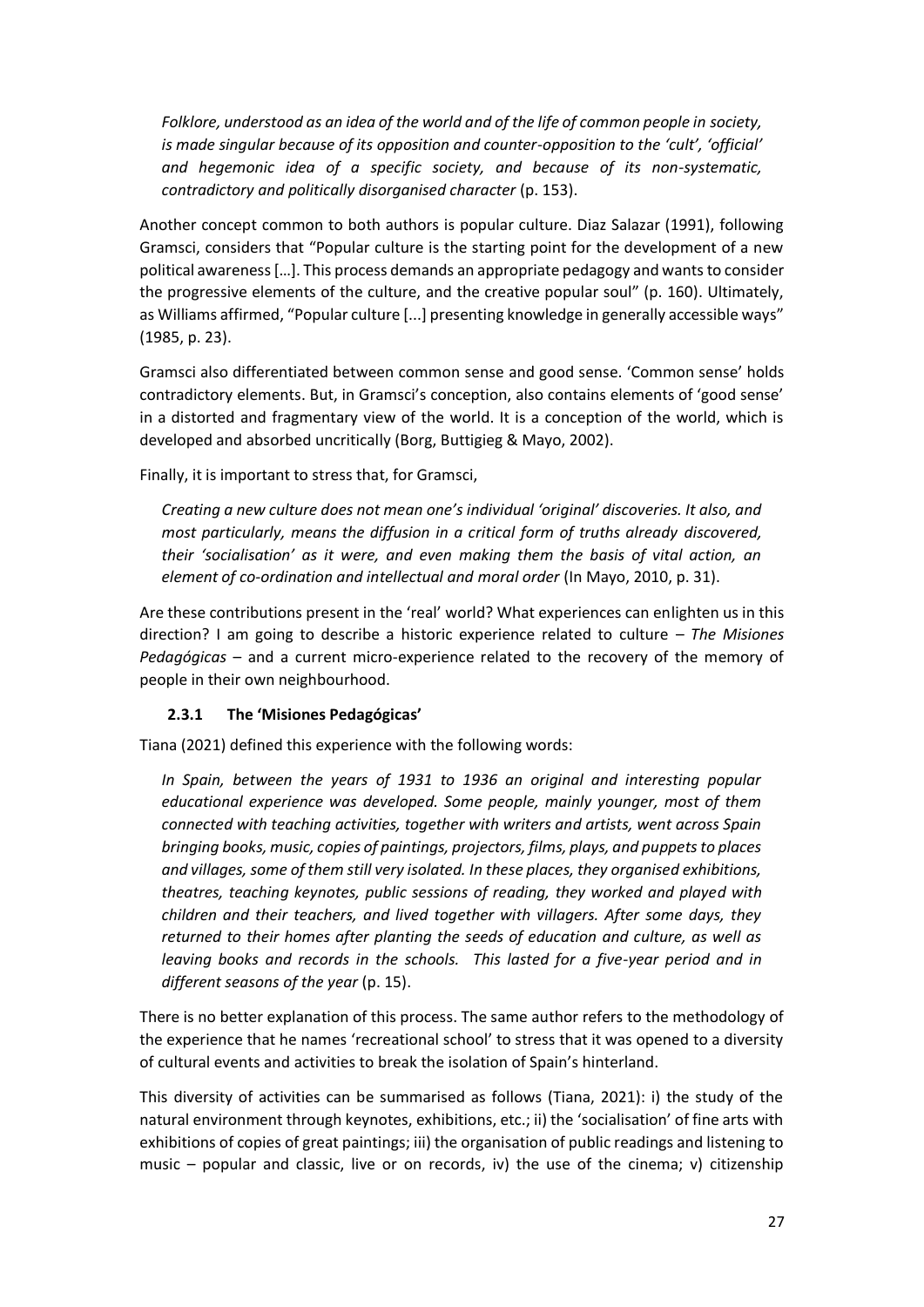*Folklore, understood as an idea of the world and of the life of common people in society, is made singular because of its opposition and counter-opposition to the 'cult', 'official' and hegemonic idea of a specific society, and because of its non-systematic, contradictory and politically disorganised character* (p. 153).

Another concept common to both authors is popular culture. Diaz Salazar (1991), following Gramsci, considers that "Popular culture is the starting point for the development of a new political awareness […]. This process demands an appropriate pedagogy and wants to consider the progressive elements of the culture, and the creative popular soul" (p. 160). Ultimately, as Williams affirmed, "Popular culture [...] presenting knowledge in generally accessible ways" (1985, p. 23).

Gramsci also differentiated between common sense and good sense. 'Common sense' holds contradictory elements. But, in Gramsci's conception, also contains elements of 'good sense' in a distorted and fragmentary view of the world. It is a conception of the world, which is developed and absorbed uncritically (Borg, Buttigieg & Mayo, 2002).

Finally, it is important to stress that, for Gramsci,

*Creating a new culture does not mean one's individual 'original' discoveries. It also, and most particularly, means the diffusion in a critical form of truths already discovered, their 'socialisation' as it were, and even making them the basis of vital action, an element of co-ordination and intellectual and moral order* (In Mayo, 2010, p. 31).

Are these contributions present in the 'real' world? What experiences can enlighten us in this direction? I am going to describe a historic experience related to culture – *The Misiones Pedagógicas* – and a current micro-experience related to the recovery of the memory of people in their own neighbourhood.

#### **2.3.1 The 'Misiones Pedagógicas'**

Tiana (2021) defined this experience with the following words:

*In Spain, between the years of 1931 to 1936 an original and interesting popular educational experience was developed. Some people, mainly younger, most of them connected with teaching activities, together with writers and artists, went across Spain bringing books, music, copies of paintings, projectors, films, plays, and puppets to places and villages, some of them still very isolated. In these places, they organised exhibitions, theatres, teaching keynotes, public sessions of reading, they worked and played with children and their teachers, and lived together with villagers. After some days, they returned to their homes after planting the seeds of education and culture, as well as leaving books and records in the schools. This lasted for a five-year period and in different seasons of the year* (p. 15).

There is no better explanation of this process. The same author refers to the methodology of the experience that he names 'recreational school' to stress that it was opened to a diversity of cultural events and activities to break the isolation of Spain's hinterland.

This diversity of activities can be summarised as follows (Tiana, 2021): i) the study of the natural environment through keynotes, exhibitions, etc.; ii) the 'socialisation' of fine arts with exhibitions of copies of great paintings; iii) the organisation of public readings and listening to music – popular and classic, live or on records, iv) the use of the cinema; v) citizenship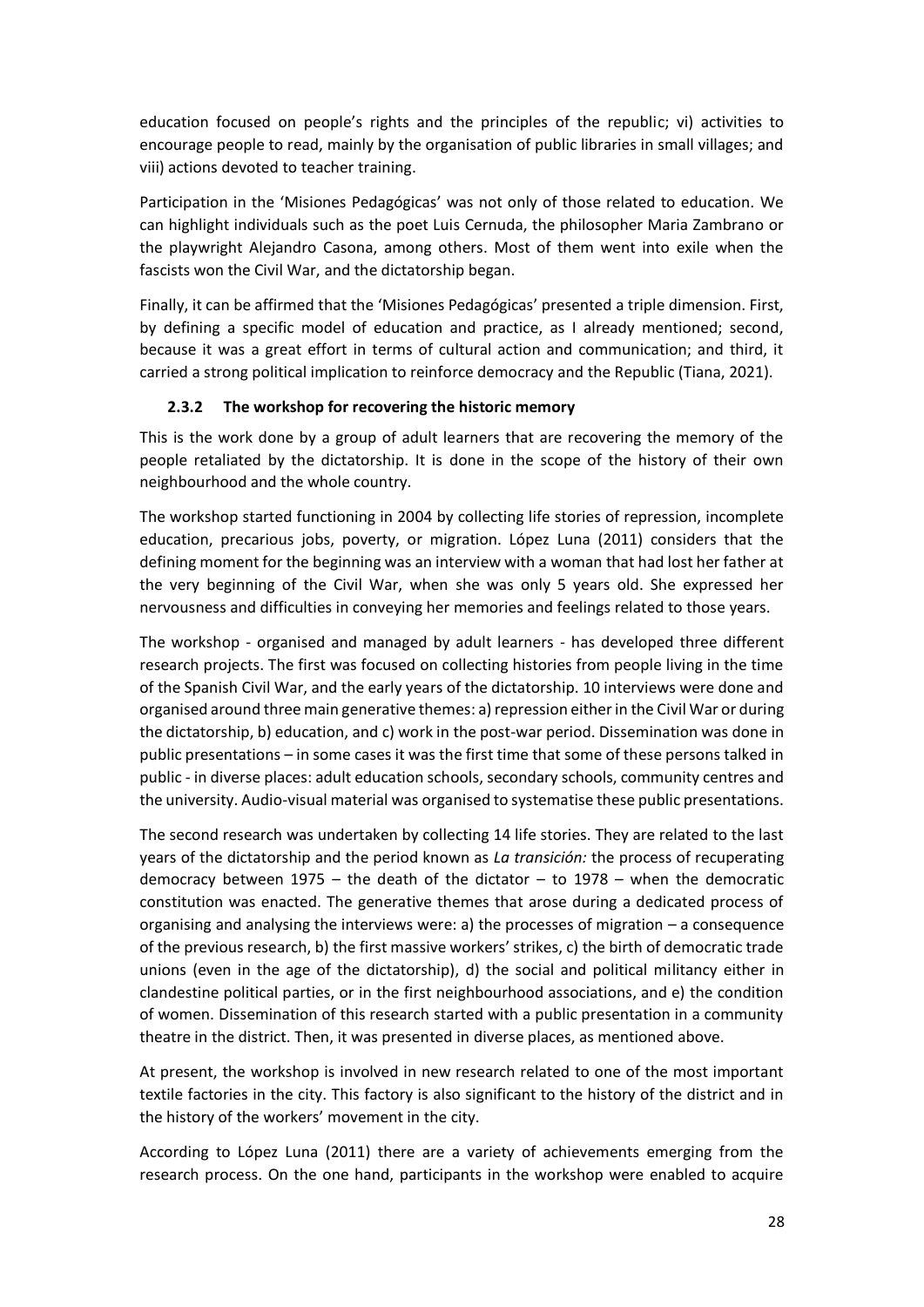education focused on people's rights and the principles of the republic; vi) activities to encourage people to read, mainly by the organisation of public libraries in small villages; and viii) actions devoted to teacher training.

Participation in the 'Misiones Pedagógicas' was not only of those related to education. We can highlight individuals such as the poet Luis Cernuda, the philosopher Maria Zambrano or the playwright Alejandro Casona, among others. Most of them went into exile when the fascists won the Civil War, and the dictatorship began.

Finally, it can be affirmed that the 'Misiones Pedagógicas' presented a triple dimension. First, by defining a specific model of education and practice, as I already mentioned; second, because it was a great effort in terms of cultural action and communication; and third, it carried a strong political implication to reinforce democracy and the Republic (Tiana, 2021).

#### **2.3.2 The workshop for recovering the historic memory**

This is the work done by a group of adult learners that are recovering the memory of the people retaliated by the dictatorship. It is done in the scope of the history of their own neighbourhood and the whole country.

The workshop started functioning in 2004 by collecting life stories of repression, incomplete education, precarious jobs, poverty, or migration. López Luna (2011) considers that the defining moment for the beginning was an interview with a woman that had lost her father at the very beginning of the Civil War, when she was only 5 years old. She expressed her nervousness and difficulties in conveying her memories and feelings related to those years.

The workshop - organised and managed by adult learners - has developed three different research projects. The first was focused on collecting histories from people living in the time of the Spanish Civil War, and the early years of the dictatorship. 10 interviews were done and organised around three main generative themes: a) repression either in the Civil War or during the dictatorship, b) education, and c) work in the post-war period. Dissemination was done in public presentations – in some cases it was the first time that some of these persons talked in public - in diverse places: adult education schools, secondary schools, community centres and the university. Audio-visual material was organised to systematise these public presentations.

The second research was undertaken by collecting 14 life stories. They are related to the last years of the dictatorship and the period known as *La transición:* the process of recuperating democracy between 1975 – the death of the dictator – to 1978 – when the democratic constitution was enacted. The generative themes that arose during a dedicated process of organising and analysing the interviews were: a) the processes of migration – a consequence of the previous research, b) the first massive workers' strikes, c) the birth of democratic trade unions (even in the age of the dictatorship), d) the social and political militancy either in clandestine political parties, or in the first neighbourhood associations, and e) the condition of women. Dissemination of this research started with a public presentation in a community theatre in the district. Then, it was presented in diverse places, as mentioned above.

At present, the workshop is involved in new research related to one of the most important textile factories in the city. This factory is also significant to the history of the district and in the history of the workers' movement in the city.

According to López Luna (2011) there are a variety of achievements emerging from the research process. On the one hand, participants in the workshop were enabled to acquire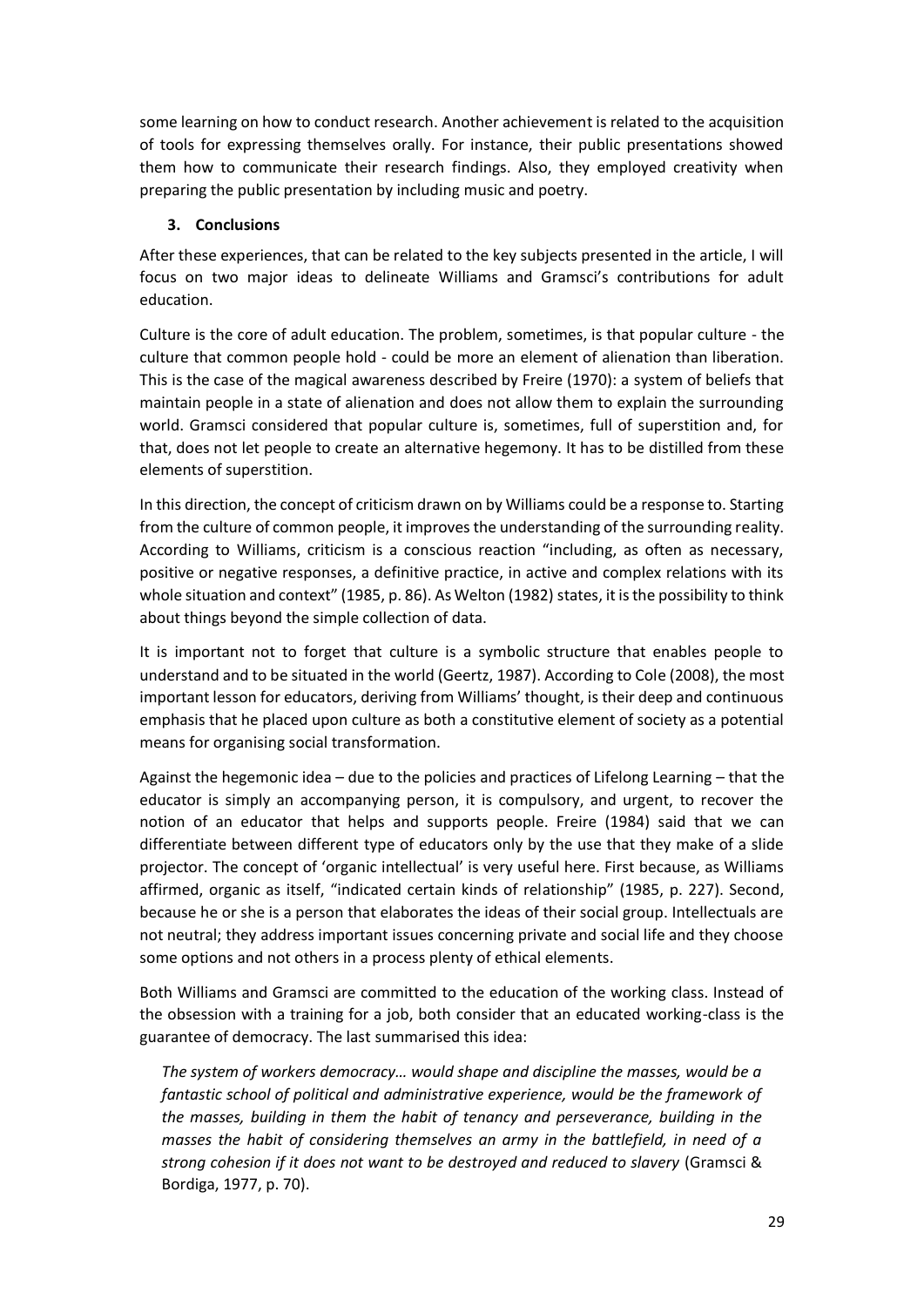some learning on how to conduct research. Another achievement is related to the acquisition of tools for expressing themselves orally. For instance, their public presentations showed them how to communicate their research findings. Also, they employed creativity when preparing the public presentation by including music and poetry.

#### **3. Conclusions**

After these experiences, that can be related to the key subjects presented in the article, I will focus on two major ideas to delineate Williams and Gramsci's contributions for adult education.

Culture is the core of adult education. The problem, sometimes, is that popular culture - the culture that common people hold - could be more an element of alienation than liberation. This is the case of the magical awareness described by Freire (1970): a system of beliefs that maintain people in a state of alienation and does not allow them to explain the surrounding world. Gramsci considered that popular culture is, sometimes, full of superstition and, for that, does not let people to create an alternative hegemony. It has to be distilled from these elements of superstition.

In this direction, the concept of criticism drawn on by Williams could be a response to. Starting from the culture of common people, it improves the understanding of the surrounding reality. According to Williams, criticism is a conscious reaction "including, as often as necessary, positive or negative responses, a definitive practice, in active and complex relations with its whole situation and context" (1985, p. 86). As Welton (1982) states, it is the possibility to think about things beyond the simple collection of data.

It is important not to forget that culture is a symbolic structure that enables people to understand and to be situated in the world (Geertz, 1987). According to Cole (2008), the most important lesson for educators, deriving from Williams' thought, is their deep and continuous emphasis that he placed upon culture as both a constitutive element of society as a potential means for organising social transformation.

Against the hegemonic idea – due to the policies and practices of Lifelong Learning – that the educator is simply an accompanying person, it is compulsory, and urgent, to recover the notion of an educator that helps and supports people. Freire (1984) said that we can differentiate between different type of educators only by the use that they make of a slide projector. The concept of 'organic intellectual' is very useful here. First because, as Williams affirmed, organic as itself, "indicated certain kinds of relationship" (1985, p. 227). Second, because he or she is a person that elaborates the ideas of their social group. Intellectuals are not neutral; they address important issues concerning private and social life and they choose some options and not others in a process plenty of ethical elements.

Both Williams and Gramsci are committed to the education of the working class. Instead of the obsession with a training for a job, both consider that an educated working-class is the guarantee of democracy. The last summarised this idea:

*The system of workers democracy… would shape and discipline the masses, would be a fantastic school of political and administrative experience, would be the framework of the masses, building in them the habit of tenancy and perseverance, building in the masses the habit of considering themselves an army in the battlefield, in need of a strong cohesion if it does not want to be destroyed and reduced to slavery* (Gramsci & Bordiga, 1977, p. 70).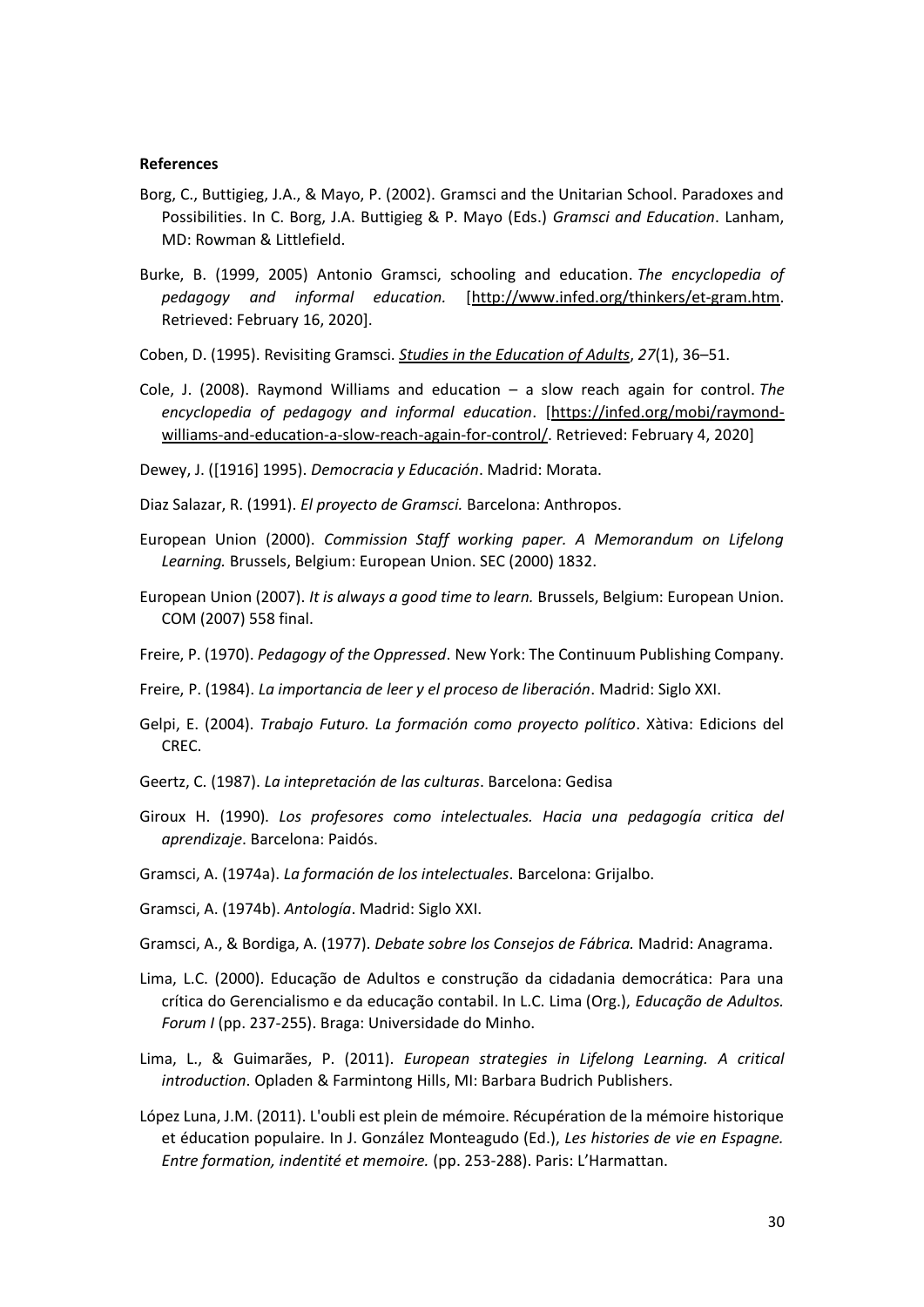#### **References**

- Borg, C., Buttigieg, J.A., & Mayo, P. (2002). Gramsci and the Unitarian School. Paradoxes and Possibilities. In C. Borg, J.A. Buttigieg & P. Mayo (Eds.) *Gramsci and Education*. Lanham, MD: Rowman & Littlefield.
- Burke, B. (1999, 2005) Antonio Gramsci, schooling and education. *The encyclopedia of pedagogy and informal education.* [http://www.infed.org/thinkers/et-gram.htm. Retrieved: February 16, 2020].
- Coben, D. (1995). Revisiting Gramsci. *Studies in the Education of Adults*, *27*(1), 36–51.
- Cole, J. (2008). Raymond Williams and education a slow reach again for control. *The encyclopedia of pedagogy and informal education*. [https://infed.org/mobi/raymondwilliams-and-education-a-slow-reach-again-for-control/. Retrieved: February 4, 2020]

Dewey, J. ([1916] 1995). *Democracia y Educación*. Madrid: Morata.

Diaz Salazar, R. (1991). *El proyecto de Gramsci.* Barcelona: Anthropos.

- European Union (2000). *Commission Staff working paper. A Memorandum on Lifelong Learning.* Brussels, Belgium: European Union. SEC (2000) 1832.
- European Union (2007). *It is always a good time to learn.* Brussels, Belgium: European Union. COM (2007) 558 final.
- Freire, P. (1970). *Pedagogy of the Oppressed*. New York: The Continuum Publishing Company.
- Freire, P. (1984). *La importancia de leer y el proceso de liberación*. Madrid: Siglo XXI.
- Gelpi, E. (2004). *Trabajo Futuro. La formación como proyecto político*. Xàtiva: Edicions del CREC.
- Geertz, C. (1987). *La intepretación de las culturas*. Barcelona: Gedisa
- Giroux H. (1990). *Los profesores como intelectuales. Hacia una pedagogía critica del aprendizaje*. Barcelona: Paidós.
- Gramsci, A. (1974a). *La formación de los intelectuales*. Barcelona: Grijalbo.
- Gramsci, A. (1974b). *Antología*. Madrid: Siglo XXI.
- Gramsci, A., & Bordiga, A. (1977). *Debate sobre los Consejos de Fábrica.* Madrid: Anagrama.
- Lima, L.C. (2000). Educação de Adultos e construção da cidadania democrática: Para una crítica do Gerencialismo e da educação contabil. In L.C. Lima (Org.), *Educação de Adultos. Forum I* (pp. 237-255). Braga: Universidade do Minho.
- Lima, L., & Guimarães, P. (2011). *European strategies in Lifelong Learning. A critical introduction*. Opladen & Farmintong Hills, MI: Barbara Budrich Publishers.
- López Luna, J.M. (2011). L'oubli est plein de mémoire. Récupération de la mémoire historique et éducation populaire. In J. González Monteagudo (Ed.), *Les histories de vie en Espagne. Entre formation, indentité et memoire.* (pp. 253-288). Paris: L'Harmattan.